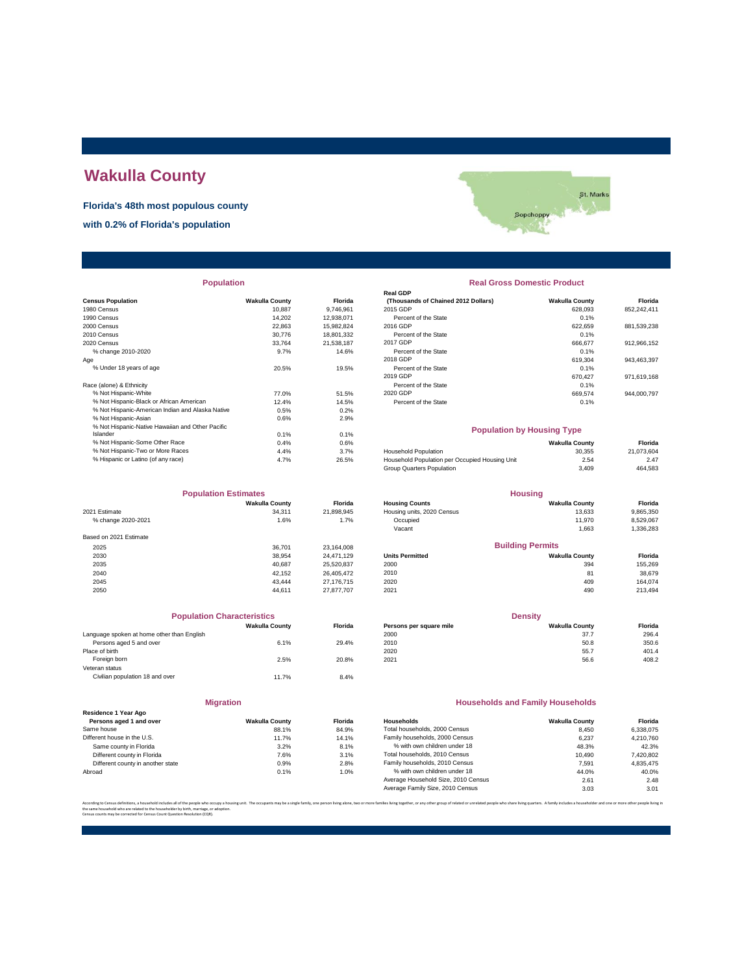# **Wakulla County**

**Florida's 48th most populous county**

**with 0.2% of Florida's population**



| <b>Population</b> |
|-------------------|
|-------------------|

|                                                  |                       |            | nga opr                                        |                       |             |
|--------------------------------------------------|-----------------------|------------|------------------------------------------------|-----------------------|-------------|
| <b>Census Population</b>                         | <b>Wakulla County</b> | Florida    | (Thousands of Chained 2012 Dollars)            | <b>Wakulla County</b> | Florida     |
| 1980 Census                                      | 10.887                | 9.746.961  | 2015 GDP                                       | 628.093               | 852,242,411 |
| 1990 Census                                      | 14.202                | 12,938,071 | Percent of the State                           | 0.1%                  |             |
| 2000 Census                                      | 22,863                | 15,982,824 | 2016 GDP                                       | 622,659               | 881,539,238 |
| 2010 Census                                      | 30,776                | 18,801,332 | Percent of the State                           | 0.1%                  |             |
| 2020 Census                                      | 33.764                | 21,538,187 | 2017 GDP                                       | 666,677               | 912,966,152 |
| % change 2010-2020                               | 9.7%                  | 14.6%      | Percent of the State                           | 0.1%                  |             |
| Age                                              |                       |            | 2018 GDP                                       | 619,304               | 943,463,397 |
| % Under 18 years of age                          | 20.5%                 | 19.5%      | Percent of the State                           | 0.1%                  |             |
|                                                  |                       |            | 2019 GDP                                       | 670.427               | 971,619,168 |
| Race (alone) & Ethnicity                         |                       |            | Percent of the State                           | 0.1%                  |             |
| % Not Hispanic-White                             | 77.0%                 | 51.5%      | 2020 GDP                                       | 669,574               | 944,000,797 |
| % Not Hispanic-Black or African American         | 12.4%                 | 14.5%      | Percent of the State                           | 0.1%                  |             |
| % Not Hispanic-American Indian and Alaska Native | 0.5%                  | 0.2%       |                                                |                       |             |
| % Not Hispanic-Asian                             | 0.6%                  | 2.9%       |                                                |                       |             |
| % Not Hispanic-Native Hawaiian and Other Pacific |                       |            | <b>Population by Housing Type</b>              |                       |             |
| Islander                                         | 0.1%                  | 0.1%       |                                                |                       |             |
| % Not Hispanic-Some Other Race                   | 0.4%                  | 0.6%       |                                                | <b>Wakulla County</b> | Florida     |
| % Not Hispanic-Two or More Races                 | 4.4%                  | 3.7%       | <b>Household Population</b>                    | 30,355                | 21,073,604  |
| % Hispanic or Latino (of any race)               | 4.7%                  | 26.5%      | Household Population per Occupied Housing Unit | 2.54                  | 2.47        |
|                                                  |                       |            |                                                |                       |             |

| <b>Population Estimates</b> |                       | <b>Housing</b> |                            |                         |           |
|-----------------------------|-----------------------|----------------|----------------------------|-------------------------|-----------|
|                             | <b>Wakulla County</b> | <b>Florida</b> | <b>Housing Counts</b>      | <b>Wakulla County</b>   | Florida   |
| 2021 Estimate               | 34.311                | 21,898,945     | Housing units, 2020 Census | 13,633                  | 9,865,350 |
| % change 2020-2021          | 1.6%                  | 1.7%           | Occupied                   | 11.970                  | 8,529,067 |
|                             |                       |                | Vacant                     | 1.663                   | 1,336,283 |
| Based on 2021 Estimate      |                       |                |                            |                         |           |
| 2025                        | 36.701                | 23.164.008     |                            | <b>Building Permits</b> |           |
| 2030                        | 38.954                | 24.471.129     | <b>Units Permitted</b>     | <b>Wakulla County</b>   | Florida   |
| 2035                        | 40.687                | 25.520.837     | 2000                       | 394                     | 155,269   |
| 2040                        | 42.152                | 26.405.472     | 2010                       | 81                      | 38,679    |
| 2045                        | 43.444                | 27.176.715     | 2020                       | 409                     | 164.074   |
| 2050                        | 44.611                | 27.877.707     | 2021                       | 490                     | 213,494   |

|                                            | <b>Population Characteristics</b> |                |
|--------------------------------------------|-----------------------------------|----------------|
|                                            | <b>Wakulla County</b>             | <b>Florida</b> |
| Language spoken at home other than English |                                   |                |
| Persons aged 5 and over                    | 6.1%                              | 29.4%          |
| Place of birth                             |                                   |                |
| Foreign born                               | 2.5%                              | 20.8%          |
| Veteran status                             |                                   |                |
| Civilian population 18 and over            | 11.7%                             | 8.4%           |
|                                            |                                   |                |

| <b>Migration</b>                                |                       |       |  |  |  |  |
|-------------------------------------------------|-----------------------|-------|--|--|--|--|
| Residence 1 Year Ago<br>Persons aged 1 and over | <b>Wakulla County</b> | Flori |  |  |  |  |
| Same house                                      | 88.1%                 | 84.9  |  |  |  |  |
| Different house in the U.S.                     | 11.7%                 | 14.1  |  |  |  |  |
| Same county in Florida                          | 3.2%                  | 8.1   |  |  |  |  |
| Different county in Florida                     | 7.6%                  | 3.1   |  |  |  |  |
| Different county in another state               | 0.9%                  | 2.8   |  |  |  |  |
| Abroad                                          | 0.1%                  | 1.0   |  |  |  |  |

## **Real Gross Domestic Product**

| <b>FUDUIALIUII</b>                               |                       |                | <b>Real Giuss Duillesul Fiuuul</b> l |                       |             |  |
|--------------------------------------------------|-----------------------|----------------|--------------------------------------|-----------------------|-------------|--|
|                                                  |                       |                | <b>Real GDP</b>                      |                       |             |  |
| sus Population                                   | <b>Wakulla County</b> | <b>Florida</b> | (Thousands of Chained 2012 Dollars)  | <b>Wakulla County</b> | Florida     |  |
| 0 Census                                         | 10.887                | 9.746.961      | 2015 GDP                             | 628.093               | 852.242.411 |  |
| 0 Census                                         | 14.202                | 12.938.071     | Percent of the State                 | 0.1%                  |             |  |
| 0 Census                                         | 22.863                | 15.982.824     | 2016 GDP                             | 622.659               | 881,539,238 |  |
| 0 Census                                         | 30.776                | 18.801.332     | Percent of the State                 | 0.1%                  |             |  |
| 0 Census                                         | 33.764                | 21.538.187     | 2017 GDP                             | 666.677               | 912.966.152 |  |
| % change 2010-2020                               | 9.7%                  | 14.6%          | Percent of the State                 | 0.1%                  |             |  |
|                                                  |                       |                | 2018 GDP                             | 619.304               | 943.463.397 |  |
| % Under 18 years of age                          | 20.5%                 | 19.5%          | Percent of the State                 | 0.1%                  |             |  |
|                                                  |                       |                | 2019 GDP                             | 670.427               | 971,619,168 |  |
| e (alone) & Ethnicity                            |                       |                | Percent of the State                 | 0.1%                  |             |  |
| % Not Hispanic-White                             | 77.0%                 | 51.5%          | 2020 GDP                             | 669.574               | 944.000.797 |  |
| % Not Hispanic-Black or African American         | 12.4%                 | 14.5%          | Percent of the State                 | 0.1%                  |             |  |
| % Not Hispanic-American Indian and Alaska Native | 0.5%                  | 0.2%           |                                      |                       |             |  |

#### **Population by Housing Type**

| 0.4% | 0.6%  |                                                | <b>Wakulla County</b> | Florida    |
|------|-------|------------------------------------------------|-----------------------|------------|
| 4.4% | 3.7%  | <b>Household Population</b>                    | 30.355                | 21.073.604 |
| 4.7% | 26.5% | Household Population per Occupied Housing Unit | 2.54                  | 2.47       |
|      |       | Group Quarters Population                      | 3.409                 | 464.583    |
|      |       |                                                |                       |            |

| <b>Population Estimates</b> |                       |                | <b>Housing</b>             |                         |                |
|-----------------------------|-----------------------|----------------|----------------------------|-------------------------|----------------|
|                             | <b>Wakulla County</b> | <b>Florida</b> | <b>Housing Counts</b>      | <b>Wakulla County</b>   | <b>Florida</b> |
| 2021 Estimate               | 34.311                | 21.898.945     | Housing units, 2020 Census | 13.633                  | 9,865,350      |
| % change 2020-2021          | 1.6%                  | 1.7%           | Occupied                   | 11.970                  | 8,529,067      |
|                             |                       |                | Vacant                     | 1.663                   | 1,336,283      |
| Based on 2021 Estimate      |                       |                |                            |                         |                |
| 2025                        | 36,701                | 23.164.008     |                            | <b>Building Permits</b> |                |
| 2030                        | 38.954                | 24.471.129     | <b>Units Permitted</b>     | <b>Wakulla County</b>   | <b>Florida</b> |
| 2035                        | 40.687                | 25.520.837     | 2000                       | 394                     | 155,269        |
| 2040                        | 42.152                | 26.405.472     | 2010                       | 81                      | 38.679         |
|                             |                       |                |                            |                         |                |

| <b>Population Characteristics</b>          |                       |                | <b>Density</b>          |                       |         |
|--------------------------------------------|-----------------------|----------------|-------------------------|-----------------------|---------|
|                                            | <b>Wakulla County</b> | <b>Florida</b> | Persons per square mile | <b>Wakulla County</b> | Florida |
| Language spoken at home other than English |                       |                | 2000                    | 37.7                  | 296.4   |
| Persons aged 5 and over                    | 6.1%                  | 29.4%          | 2010                    | 50.8                  | 350.6   |
| Place of birth                             |                       |                | 2020                    | 55.7                  | 401.4   |
| Foreign born                               | 2.5%                  | 20.8%          | 2021                    | 56.6                  | 408.2   |

#### **Households and Family Households**

| Residence 1 Year Ago              |                       |                |                                     |                       |           |
|-----------------------------------|-----------------------|----------------|-------------------------------------|-----------------------|-----------|
| Persons aged 1 and over           | <b>Wakulla County</b> | <b>Florida</b> | Households                          | <b>Wakulla County</b> | Florida   |
| Same house                        | 88.1%                 | 84.9%          | Total households, 2000 Census       | 8.450                 | 6.338.075 |
| Different house in the U.S.       | 11.7%                 | 14.1%          | Family households, 2000 Census      | 6.237                 | 4.210.760 |
| Same county in Florida            | 3.2%                  | 8.1%           | % with own children under 18        | 48.3%                 | 42.3%     |
| Different county in Florida       | 7.6%                  | 3.1%           | Total households, 2010 Census       | 10.490                | 7,420,802 |
| Different county in another state | 0.9%                  | 2.8%           | Family households, 2010 Census      | 7.591                 | 4.835.475 |
| Abroad                            | 0.1%                  | 1.0%           | % with own children under 18        | 44.0%                 | 40.0%     |
|                                   |                       |                | Average Household Size, 2010 Census | 2.61                  | 2.48      |
|                                   |                       |                | Average Family Size, 2010 Census    | 3.03                  | 3.01      |

.<br>lies living together, or any other group of related or unrelated people who share living quarters. A family includes a householder and one or more other the same household who are related to the householder by birth, marriage, or adoption. Census counts may be corrected for Census Count Question Resolution (CQR).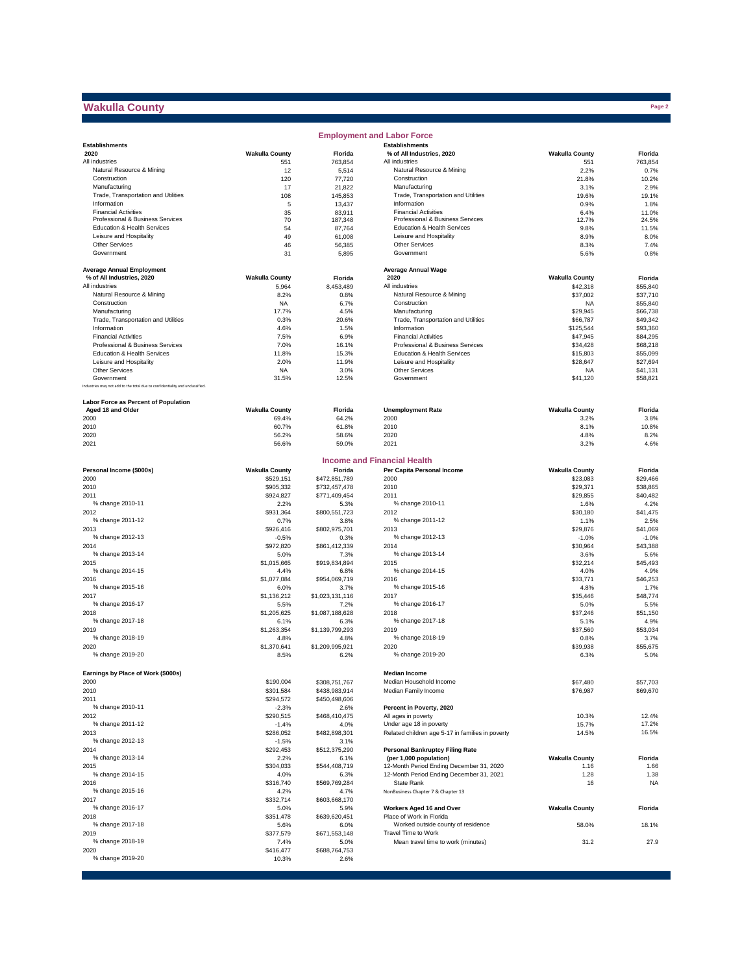# **Wakulla County**

|                                                                              |                       |                   | <b>Employment and Labor Force</b>                  |                       |                |
|------------------------------------------------------------------------------|-----------------------|-------------------|----------------------------------------------------|-----------------------|----------------|
| <b>Establishments</b>                                                        |                       |                   | <b>Establishments</b>                              |                       |                |
| 2020                                                                         | <b>Wakulla County</b> | Florida           | % of All Industries, 2020                          | <b>Wakulla County</b> | Florida        |
| All industries                                                               | 551                   | 763,854           | All industries                                     | 551                   | 763,854        |
| Natural Resource & Mining                                                    | 12                    | 5,514             | Natural Resource & Mining                          | 2.2%                  | 0.7%           |
| Construction                                                                 | 120                   | 77,720            | Construction                                       | 21.8%                 | 10.2%          |
| Manufacturing                                                                | 17                    | 21,822            | Manufacturing                                      | 3.1%                  | 2.9%           |
| Trade, Transportation and Utilities<br>Information                           | 108                   | 145,853           | Trade, Transportation and Utilities<br>Information | 19.6%                 | 19.1%          |
| <b>Financial Activities</b>                                                  | 5                     | 13,437            | <b>Financial Activities</b>                        | 0.9%                  | 1.8%           |
| Professional & Business Services                                             | 35<br>70              | 83,911<br>187,348 | Professional & Business Services                   | 6.4%<br>12.7%         | 11.0%<br>24.5% |
| Education & Health Services                                                  | 54                    | 87,764            | Education & Health Services                        | 9.8%                  | 11.5%          |
| Leisure and Hospitality                                                      | 49                    | 61,008            | Leisure and Hospitality                            | 8.9%                  | 8.0%           |
| Other Services                                                               | 46                    | 56,385            | Other Services                                     | 8.3%                  | 7.4%           |
| Government                                                                   | 31                    | 5,895             | Government                                         | 5.6%                  | 0.8%           |
|                                                                              |                       |                   |                                                    |                       |                |
| <b>Average Annual Employment</b>                                             |                       |                   | <b>Average Annual Wage</b>                         |                       |                |
| % of All Industries, 2020                                                    | <b>Wakulla County</b> | Florida           | 2020                                               | <b>Wakulla County</b> | Florida        |
| All industries                                                               | 5,964                 | 8.453.489         | All industries                                     | \$42,318              | \$55,840       |
| Natural Resource & Mining                                                    | 8.2%                  | 0.8%              | Natural Resource & Mining                          | \$37,002              | \$37,710       |
| Construction                                                                 | <b>NA</b>             | 6.7%              | Construction                                       | <b>NA</b>             | \$55,840       |
| Manufacturing                                                                | 17.7%                 | 4.5%              | Manufacturing                                      | \$29,945              | \$66,738       |
| Trade, Transportation and Utilities                                          | 0.3%                  | 20.6%             | Trade, Transportation and Utilities                | \$66,787              | \$49,342       |
| Information                                                                  | 4.6%                  | 1.5%              | Information                                        | \$125,544             | \$93,360       |
| <b>Financial Activities</b>                                                  | 7.5%                  | 6.9%              | <b>Financial Activities</b>                        | \$47,945              | \$84,295       |
| Professional & Business Services                                             | 7.0%                  | 16.1%             | Professional & Business Services                   | \$34,428              | \$68,218       |
| Education & Health Services                                                  | 11.8%                 | 15.3%             | Education & Health Services                        | \$15,803              | \$55,099       |
| Leisure and Hospitality                                                      | 2.0%                  | 11.9%             | Leisure and Hospitality                            | \$28,647              | \$27,694       |
| Other Services                                                               | <b>NA</b>             | 3.0%              | Other Services                                     | <b>NA</b>             | \$41,131       |
| Government                                                                   | 31.5%                 | 12.5%             | Government                                         | \$41,120              | \$58,821       |
| Industries may not add to the total due to confidentiality and unclassified. |                       |                   |                                                    |                       |                |
|                                                                              |                       |                   |                                                    |                       |                |
| Labor Force as Percent of Population                                         |                       |                   |                                                    |                       |                |
| Aged 18 and Older                                                            | <b>Wakulla County</b> | Florida           | <b>Unemployment Rate</b>                           | <b>Wakulla County</b> | Florida        |
| 2000                                                                         | 69.4%                 | 64.2%             | 2000                                               | 3.2%                  | 3.8%           |
| 2010                                                                         | 60.7%                 | 61.8%             | 2010                                               | 8.1%                  | 10.8%          |
| 2020                                                                         | 56.2%                 | 58.6%             | 2020                                               | 4.8%                  | 8.2%           |
| 2021                                                                         | 56.6%                 | 59.0%             | 2021                                               | 3.2%                  | 4.6%           |
|                                                                              |                       |                   |                                                    |                       |                |
|                                                                              |                       |                   | <b>Income and Financial Health</b>                 |                       |                |
| Personal Income (\$000s)                                                     | <b>Wakulla County</b> | Florida           | Per Capita Personal Income                         | <b>Wakulla County</b> | Florida        |
| 2000                                                                         | \$529,151             | \$472,851,789     | 2000                                               | \$23,083              | \$29,466       |
| 2010                                                                         | \$905,332             | \$732,457,478     | 2010                                               | \$29,371              | \$38,865       |
| 2011                                                                         | \$924,827             | \$771,409,454     | 2011                                               | \$29,855              | \$40,482       |
| % change 2010-11                                                             | 2.2%                  | 5.3%              | % change 2010-11                                   | 1.6%                  | 4.2%           |
| 2012                                                                         | \$931,364             | \$800,551,723     | 2012                                               | \$30,180              | \$41,475       |
| % change 2011-12                                                             | 0.7%                  | 3.8%              | % change 2011-12                                   | 1.1%                  | 2.5%           |
| 2013                                                                         | \$926,416             | \$802,975,701     | 2013                                               | \$29,876              | \$41,069       |
| % change 2012-13                                                             | $-0.5%$               | 0.3%              | % change 2012-13                                   | $-1.0%$               | $-1.0%$        |
| 2014                                                                         | \$972,820             | \$861,412,339     | 2014                                               | \$30,964              | \$43,388       |
| % change 2013-14                                                             | 5.0%                  | 7.3%              | % change 2013-14                                   | 3.6%                  | 5.6%           |
| 2015                                                                         | \$1,015,665           | \$919,834,894     | 2015                                               | \$32,214              | \$45,493       |
| % change 2014-15                                                             | 4.4%                  | 6.8%              | % change 2014-15                                   | 4.0%                  | 4.9%           |
| 2016                                                                         | \$1,077,084           | \$954,069,719     | 2016                                               | \$33,771              | \$46,253       |
| % change 2015-16                                                             | 6.0%                  | 3.7%              | % change 2015-16                                   | 4.8%                  | 1.7%           |
| 2017                                                                         | \$1,136,212           | \$1,023,131,116   | 2017                                               | \$35,446              | \$48,774       |
| % change 2016-17                                                             | 5.5%                  | 7.2%              | % change 2016-17                                   | 5.0%                  | 5.5%           |
| 2018                                                                         | \$1,205,625           | \$1,087,188,628   | 2018                                               | \$37,246              | \$51,150       |
| % change 2017-18                                                             | 6.1%                  | 6.3%              | % change 2017-18                                   | 5.1%                  | 4.9%           |
| 2019                                                                         | \$1,263,354           | \$1,139,799,293   | 2019                                               | \$37,560              | \$53,034       |
| % change 2018-19                                                             | 4.8%                  | 4.8%              | % change 2018-19                                   | 0.8%                  | 3.7%           |
| 2020                                                                         | \$1,370,641           | \$1,209,995,921   | 2020                                               | \$39,938              | \$55,675       |
| % change 2019-20                                                             | 8.5%                  | 6.2%              | % change 2019-20                                   | 6.3%                  | 5.0%           |
|                                                                              |                       |                   |                                                    |                       |                |
| Earnings by Place of Work (\$000s)                                           |                       |                   | <b>Median Income</b>                               |                       |                |
| 2000                                                                         | \$190,004             | \$308,751,767     | Median Household Income                            | \$67,480              | \$57,703       |
| 2010                                                                         | \$301,584             | \$438,983,914     | Median Family Income                               | \$76,987              | \$69,670       |
| 2011                                                                         | \$294,572             | \$450,498,606     |                                                    |                       |                |
| % change 2010-11                                                             | $-2.3%$               | 2.6%              | Percent in Poverty, 2020                           |                       |                |
| 2012                                                                         | \$290,515             | \$468,410,475     | All ages in poverty                                | 10.3%                 | 12.4%          |
| % change 2011-12                                                             | $-1.4%$               | 4.0%              | Under age 18 in poverty                            | 15.7%                 | 17.2%          |
| 2013                                                                         | \$286,052             | \$482,898,301     | Related children age 5-17 in families in poverty   | 14.5%                 | 16.5%          |
| % change 2012-13                                                             | $-1.5%$               | 3.1%              |                                                    |                       |                |
| 2014                                                                         | \$292,453             | \$512,375,290     | <b>Personal Bankruptcy Filing Rate</b>             |                       |                |
| % change 2013-14                                                             | 2.2%                  | 6.1%              | (per 1,000 population)                             | <b>Wakulla County</b> | Florida        |
| 2015                                                                         | \$304,033             | \$544,408,719     | 12-Month Period Ending December 31, 2020           | 1.16                  | 1.66           |
| % change 2014-15                                                             | 4.0%                  | 6.3%              | 12-Month Period Ending December 31, 2021           | 1.28                  | 1.38           |
| 2016                                                                         | \$316,740             | \$569,769,284     | State Rank                                         | 16                    | <b>NA</b>      |
| % change 2015-16                                                             | 4.2%                  | 4.7%              | NonBusiness Chapter 7 & Chapter 13                 |                       |                |
| 2017                                                                         | \$332,714             | \$603,668,170     |                                                    |                       |                |
| % change 2016-17                                                             | 5.0%                  | 5.9%              | Workers Aged 16 and Over                           | <b>Wakulla County</b> | Florida        |
| 2018                                                                         | \$351,478             | \$639,620,451     | Place of Work in Florida                           |                       |                |
| % change 2017-18                                                             | 5.6%                  | 6.0%              | Worked outside county of residence                 | 58.0%                 | 18.1%          |
| 2019                                                                         | \$377,579             | \$671,553,148     | Travel Time to Work                                |                       |                |
| % change 2018-19                                                             | 7.4%                  | 5.0%              | Mean travel time to work (minutes)                 | 31.2                  | 27.9           |
| 2020                                                                         | \$416,477             | \$688,764,753     |                                                    |                       |                |
| % change 2019-20                                                             | 10.3%                 | 2.6%              |                                                    |                       |                |